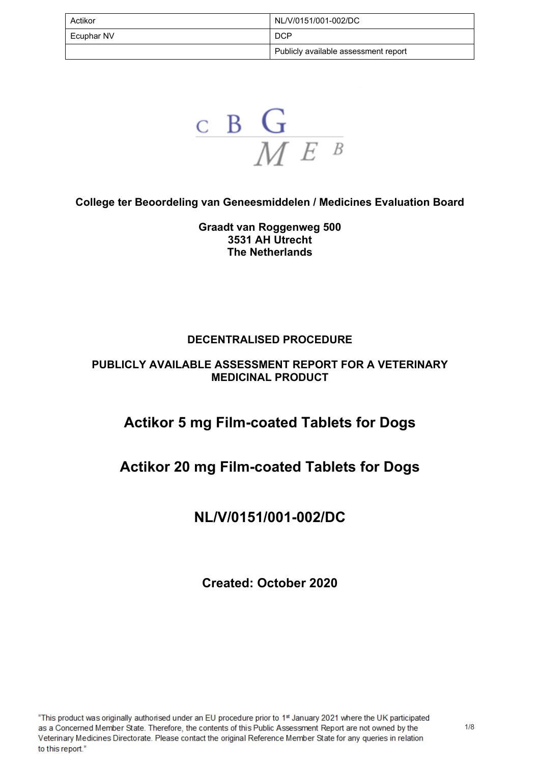| Actikor    | NL/V/0151/001-002/DC                 |
|------------|--------------------------------------|
| Ecuphar NV | <b>DCP</b>                           |
|            | Publicly available assessment report |

 $\frac{\mathsf{c}}{\mathsf{M}}\frac{\mathsf{G}}{\mathsf{M}}$ 

**College ter Beoordeling van Geneesmiddelen / Medicines Evaluation Board** 

**Graadt van Roggenweg 500 3531 AH Utrecht The Netherlands**

#### **DECENTRALISED PROCEDURE**

#### **PUBLICLY AVAILABLE ASSESSMENT REPORT FOR A VETERINARY MEDICINAL PRODUCT**

## **Actikor 5 mg Film-coated Tablets for Dogs**

## **Actikor 20 mg Film-coated Tablets for Dogs**

## **NL/V/0151/001-002/DC**

**Created: October 2020**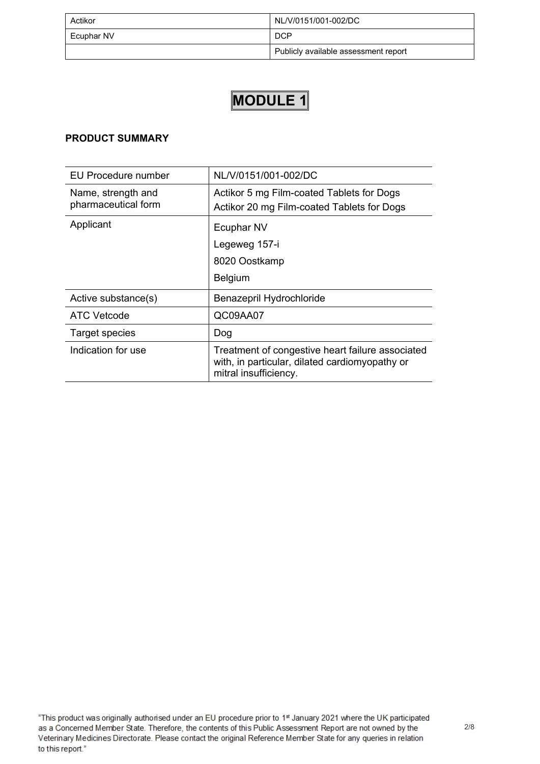| Actikor    | NL/V/0151/001-002/DC                 |  |  |
|------------|--------------------------------------|--|--|
| Ecuphar NV | <b>DCP</b>                           |  |  |
|            | Publicly available assessment report |  |  |

#### **PRODUCT SUMMARY**

| EU Procedure number                       | NL/V/0151/001-002/DC                                                                                                        |  |
|-------------------------------------------|-----------------------------------------------------------------------------------------------------------------------------|--|
| Name, strength and<br>pharmaceutical form | Actikor 5 mg Film-coated Tablets for Dogs<br>Actikor 20 mg Film-coated Tablets for Dogs                                     |  |
| Applicant                                 | Ecuphar NV                                                                                                                  |  |
|                                           | Legeweg 157-i                                                                                                               |  |
|                                           | 8020 Oostkamp                                                                                                               |  |
|                                           | <b>Belgium</b>                                                                                                              |  |
| Active substance(s)                       | Benazepril Hydrochloride                                                                                                    |  |
| ATC Vetcode                               | QC09AA07                                                                                                                    |  |
| <b>Target species</b>                     | Dog                                                                                                                         |  |
| Indication for use                        | Treatment of congestive heart failure associated<br>with, in particular, dilated cardiomyopathy or<br>mitral insufficiency. |  |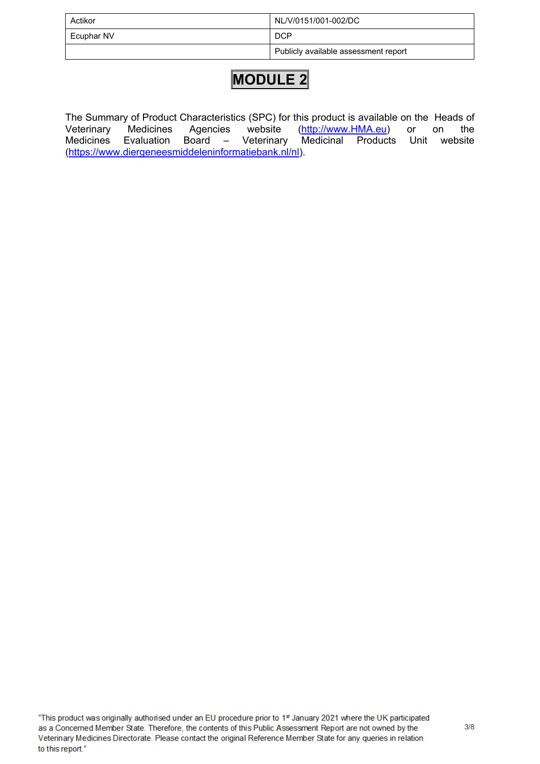| Actikor    | NL/V/0151/001-002/DC                 |  |
|------------|--------------------------------------|--|
| Ecuphar NV | <b>DCP</b>                           |  |
|            | Publicly available assessment report |  |

The Summary of Product Characteristics (SPC) for this product is available on the Heads of Veterinary Medicines Agencies website [\(http://www.HMA.eu](http://www.hma.eu/)) or on the Medicines Evaluation Board – Veterinary Medicinal Products Unit website (<https://www.diergeneesmiddeleninformatiebank.nl/nl>).

"This product was originally authorised under an EU procedure prior to 1st January 2021 where the UK participated as a Concerned Member State. Therefore, the contents of this Public Assessment Report are not owned by the Veterinary Medicines Directorate. Please contact the original Reference Member State for any queries in relation to this report."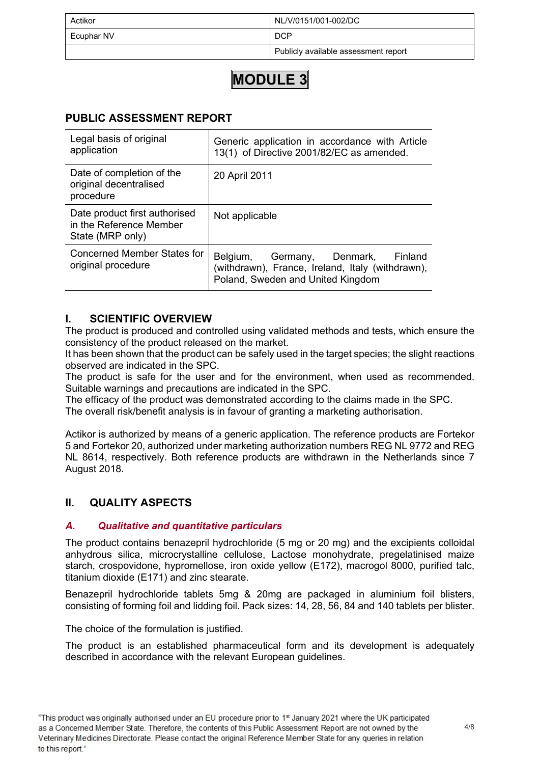| Actikor    | NL/V/0151/001-002/DC                 |  |  |
|------------|--------------------------------------|--|--|
| Ecuphar NV | <b>DCP</b>                           |  |  |
|            | Publicly available assessment report |  |  |

#### **PUBLIC ASSESSMENT REPORT**

| Legal basis of original<br>application                                       | Generic application in accordance with Article<br>13(1) of Directive 2001/82/EC as amended.                                    |  |  |
|------------------------------------------------------------------------------|--------------------------------------------------------------------------------------------------------------------------------|--|--|
| Date of completion of the<br>original decentralised<br>procedure             | 20 April 2011                                                                                                                  |  |  |
| Date product first authorised<br>in the Reference Member<br>State (MRP only) | Not applicable                                                                                                                 |  |  |
| Concerned Member States for<br>original procedure                            | Belgium, Germany, Denmark,<br>Finland<br>(withdrawn), France, Ireland, Italy (withdrawn),<br>Poland, Sweden and United Kingdom |  |  |

#### **I. SCIENTIFIC OVERVIEW**

The product is produced and controlled using validated methods and tests, which ensure the consistency of the product released on the market.

It has been shown that the product can be safely used in the target species; the slight reactions observed are indicated in the SPC.

The product is safe for the user and for the environment, when used as recommended. Suitable warnings and precautions are indicated in the SPC.

The efficacy of the product was demonstrated according to the claims made in the SPC. The overall risk/benefit analysis is in favour of granting a marketing authorisation.

Actikor is authorized by means of a generic application. The reference products are Fortekor 5 and Fortekor 20, authorized under marketing authorization numbers REG NL 9772 and REG NL 8614, respectively. Both reference products are withdrawn in the Netherlands since 7 August 2018.

#### **II. QUALITY ASPECTS**

#### *A. Qualitative and quantitative particulars*

The product contains benazepril hydrochloride (5 mg or 20 mg) and the excipients colloidal anhydrous silica, microcrystalline cellulose, Lactose monohydrate, pregelatinised maize starch, crospovidone, hypromellose, iron oxide yellow (E172), macrogol 8000, purified talc, titanium dioxide (E171) and zinc stearate.

Benazepril hydrochloride tablets 5mg & 20mg are packaged in aluminium foil blisters, consisting of forming foil and lidding foil. Pack sizes: 14, 28, 56, 84 and 140 tablets per blister.

The choice of the formulation is justified.

The product is an established pharmaceutical form and its development is adequately described in accordance with the relevant European guidelines.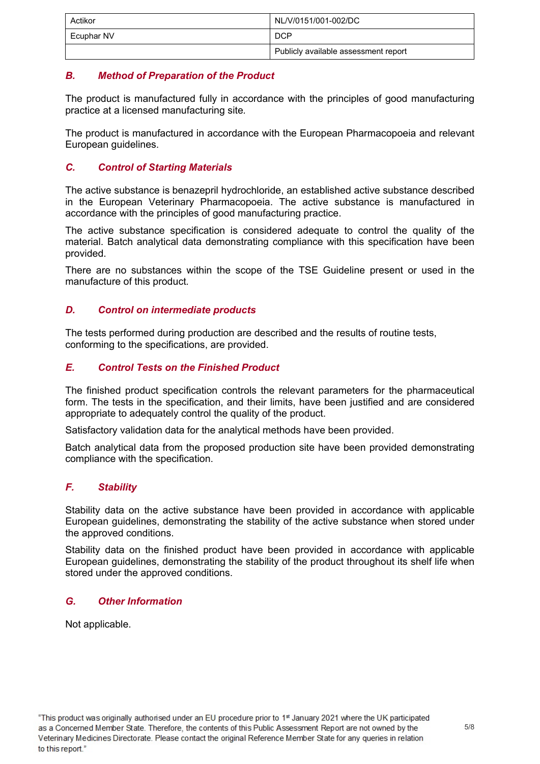| Actikor    | NL/V/0151/001-002/DC "               |  |
|------------|--------------------------------------|--|
| Ecuphar NV | <b>DCP</b>                           |  |
|            | Publicly available assessment report |  |

#### *B. Method of Preparation of the Product*

The product is manufactured fully in accordance with the principles of good manufacturing practice at a licensed manufacturing site*.*

The product is manufactured in accordance with the European Pharmacopoeia and relevant European guidelines.

#### *C. Control of Starting Materials*

The active substance is benazepril hydrochloride, an established active substance described in the European Veterinary Pharmacopoeia. The active substance is manufactured in accordance with the principles of good manufacturing practice.

The active substance specification is considered adequate to control the quality of the material. Batch analytical data demonstrating compliance with this specification have been provided.

There are no substances within the scope of the TSE Guideline present or used in the manufacture of this product*.*

#### *D. Control on intermediate products*

The tests performed during production are described and the results of routine tests, conforming to the specifications, are provided.

#### *E. Control Tests on the Finished Product*

The finished product specification controls the relevant parameters for the pharmaceutical form. The tests in the specification, and their limits, have been justified and are considered appropriate to adequately control the quality of the product.

Satisfactory validation data for the analytical methods have been provided.

Batch analytical data from the proposed production site have been provided demonstrating compliance with the specification.

#### *F. Stability*

Stability data on the active substance have been provided in accordance with applicable European guidelines, demonstrating the stability of the active substance when stored under the approved conditions.

Stability data on the finished product have been provided in accordance with applicable European guidelines, demonstrating the stability of the product throughout its shelf life when stored under the approved conditions.

#### *G. Other Information*

Not applicable.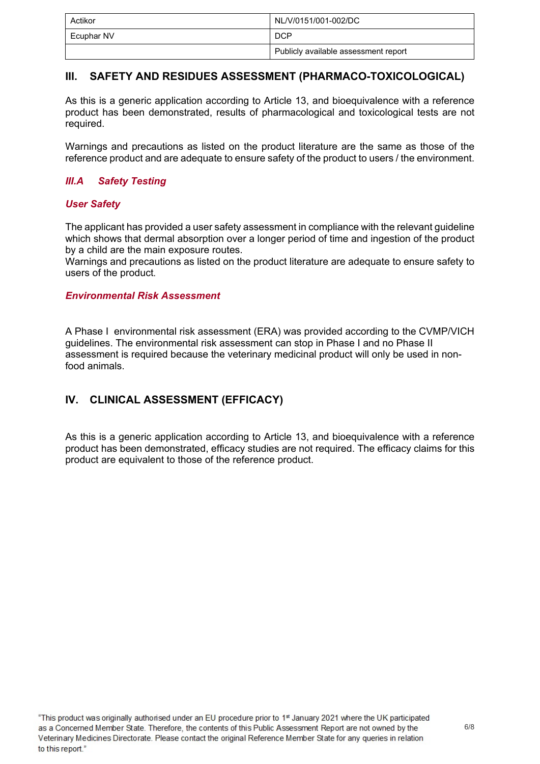| Actikor    | NL/V/0151/001-002/DC                 |  |
|------------|--------------------------------------|--|
| Ecuphar NV | <b>DCP</b>                           |  |
|            | Publicly available assessment report |  |

#### **III. SAFETY AND RESIDUES ASSESSMENT (PHARMACO-TOXICOLOGICAL)**

As this is a generic application according to Article 13, and bioequivalence with a reference product has been demonstrated, results of pharmacological and toxicological tests are not required.

Warnings and precautions as listed on the product literature are the same as those of the reference product and are adequate to ensure safety of the product to users / the environment.

#### *III.A Safety Testing*

#### *User Safety*

The applicant has provided a user safety assessment in compliance with the relevant guideline which shows that dermal absorption over a longer period of time and ingestion of the product by a child are the main exposure routes.

Warnings and precautions as listed on the product literature are adequate to ensure safety to users of the product.

#### *Environmental Risk Assessment*

A Phase I environmental risk assessment (ERA) was provided according to the CVMP/VICH guidelines. The environmental risk assessment can stop in Phase I and no Phase II assessment is required because the veterinary medicinal product will only be used in nonfood animals.

#### **IV. CLINICAL ASSESSMENT (EFFICACY)**

As this is a generic application according to Article 13, and bioequivalence with a reference product has been demonstrated, efficacy studies are not required. The efficacy claims for this product are equivalent to those of the reference product.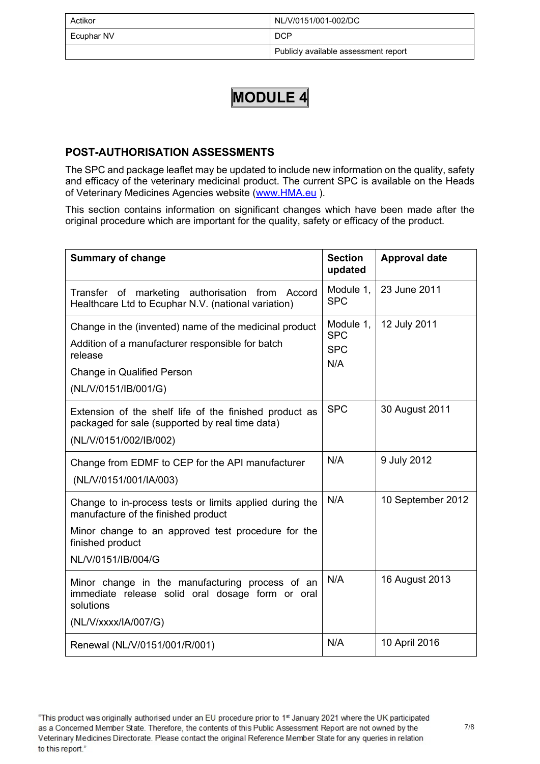| Actikor    | NL/V/0151/001-002/DC                 |  |
|------------|--------------------------------------|--|
| Ecuphar NV | <b>DCP</b>                           |  |
|            | Publicly available assessment report |  |

#### **POST-AUTHORISATION ASSESSMENTS**

The SPC and package leaflet may be updated to include new information on the quality, safety and efficacy of the veterinary medicinal product. The current SPC is available on the Heads of Veterinary Medicines Agencies website [\(www.HMA.eu](http://www.hma.eu/) ).

This section contains information on significant changes which have been made after the original procedure which are important for the quality, safety or efficacy of the product.

| <b>Summary of change</b>                                                                                                                                                                       | <b>Section</b><br>updated                    | <b>Approval date</b> |
|------------------------------------------------------------------------------------------------------------------------------------------------------------------------------------------------|----------------------------------------------|----------------------|
| marketing<br>authorisation<br>from<br>Accord<br>Transfer of<br>Healthcare Ltd to Ecuphar N.V. (national variation)                                                                             | Module 1,<br><b>SPC</b>                      | 23 June 2011         |
| Change in the (invented) name of the medicinal product<br>Addition of a manufacturer responsible for batch<br>release<br><b>Change in Qualified Person</b><br>(NL/V/0151/IB/001/G)             | Module 1,<br><b>SPC</b><br><b>SPC</b><br>N/A | 12 July 2011         |
| Extension of the shelf life of the finished product as<br>packaged for sale (supported by real time data)<br>(NL/V/0151/002/IB/002)                                                            | <b>SPC</b>                                   | 30 August 2011       |
| Change from EDMF to CEP for the API manufacturer<br>(NL/V/0151/001/IA/003)                                                                                                                     | N/A                                          | 9 July 2012          |
| Change to in-process tests or limits applied during the<br>manufacture of the finished product<br>Minor change to an approved test procedure for the<br>finished product<br>NL/V/0151/IB/004/G | N/A                                          | 10 September 2012    |
| Minor change in the manufacturing process of an<br>immediate release solid oral dosage form or oral<br>solutions<br>(NL/V/xxxx/IA/007/G)                                                       | N/A                                          | 16 August 2013       |
| Renewal (NL/V/0151/001/R/001)                                                                                                                                                                  | N/A                                          | 10 April 2016        |

<sup>&</sup>quot;This product was originally authorised under an EU procedure prior to 1st January 2021 where the UK participated as a Concerned Member State. Therefore, the contents of this Public Assessment Report are not owned by the Veterinary Medicines Directorate. Please contact the original Reference Member State for any queries in relation to this report."